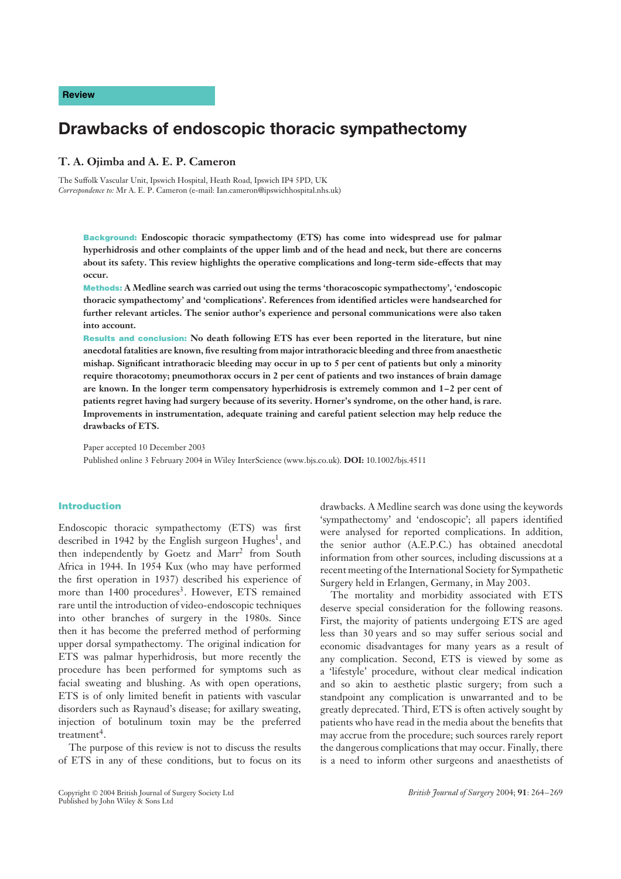# **Drawbacks of endoscopic thoracic sympathectomy**

## **T. A. Ojimba and A. E. P. Cameron**

The Suffolk Vascular Unit, Ipswich Hospital, Heath Road, Ipswich IP4 5PD, UK *Correspondence to:* Mr A. E. P. Cameron (e-mail: Ian.cameron@ipswichhospital.nhs.uk)

**Background: Endoscopic thoracic sympathectomy (ETS) has come into widespread use for palmar hyperhidrosis and other complaints of the upper limb and of the head and neck, but there are concerns about its safety. This review highlights the operative complications and long-term side-effects that may occur.**

**Methods: A Medline search was carried out using the terms 'thoracoscopic sympathectomy', 'endoscopic thoracic sympathectomy' and 'complications'. References from identified articles were handsearched for further relevant articles. The senior author's experience and personal communications were also taken into account.**

**Results and conclusion: No death following ETS has ever been reported in the literature, but nine anecdotal fatalities are known, five resulting from major intrathoracic bleeding and three from anaesthetic mishap. Significant intrathoracic bleeding may occur in up to 5 per cent of patients but only a minority require thoracotomy; pneumothorax occurs in 2 per cent of patients and two instances of brain damage are known. In the longer term compensatory hyperhidrosis is extremely common and 1–2 per cent of patients regret having had surgery because of its severity. Horner's syndrome, on the other hand, is rare. Improvements in instrumentation, adequate training and careful patient selection may help reduce the drawbacks of ETS.**

Paper accepted 10 December 2003

Published online 3 February 2004 in Wiley InterScience (www.bjs.co.uk). **DOI:** 10.1002/bjs.4511

### **Introduction**

Endoscopic thoracic sympathectomy (ETS) was first described in 1942 by the English surgeon  $Hughes<sup>1</sup>$ , and then independently by Goetz and Marr<sup>2</sup> from South Africa in 1944. In 1954 Kux (who may have performed the first operation in 1937) described his experience of more than 1400 procedures<sup>3</sup>. However, ETS remained rare until the introduction of video-endoscopic techniques into other branches of surgery in the 1980s. Since then it has become the preferred method of performing upper dorsal sympathectomy. The original indication for ETS was palmar hyperhidrosis, but more recently the procedure has been performed for symptoms such as facial sweating and blushing. As with open operations, ETS is of only limited benefit in patients with vascular disorders such as Raynaud's disease; for axillary sweating, injection of botulinum toxin may be the preferred treatment<sup>4</sup>.

The purpose of this review is not to discuss the results of ETS in any of these conditions, but to focus on its drawbacks. A Medline search was done using the keywords 'sympathectomy' and 'endoscopic'; all papers identified were analysed for reported complications. In addition, the senior author (A.E.P.C.) has obtained anecdotal information from other sources, including discussions at a recent meeting of the International Society for Sympathetic Surgery held in Erlangen, Germany, in May 2003.

The mortality and morbidity associated with ETS deserve special consideration for the following reasons. First, the majority of patients undergoing ETS are aged less than 30 years and so may suffer serious social and economic disadvantages for many years as a result of any complication. Second, ETS is viewed by some as a 'lifestyle' procedure, without clear medical indication and so akin to aesthetic plastic surgery; from such a standpoint any complication is unwarranted and to be greatly deprecated. Third, ETS is often actively sought by patients who have read in the media about the benefits that may accrue from the procedure; such sources rarely report the dangerous complications that may occur. Finally, there is a need to inform other surgeons and anaesthetists of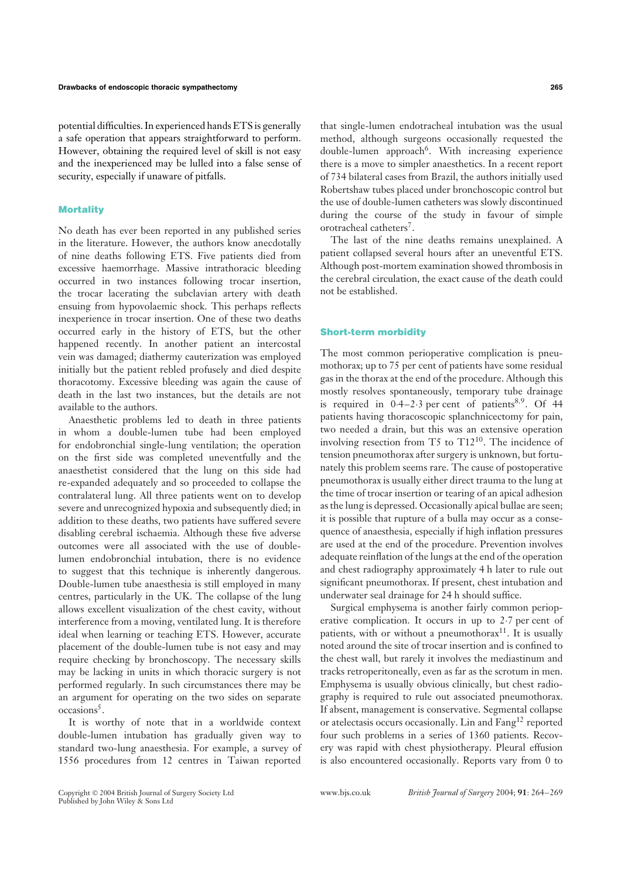potential difficulties. In experienced hands ETS is generally a safe operation that appears straightforward to perform. However, obtaining the required level of skill is not easy and the inexperienced may be lulled into a false sense of security, especially if unaware of pitfalls.

## **Mortality**

No death has ever been reported in any published series in the literature. However, the authors know anecdotally of nine deaths following ETS. Five patients died from excessive haemorrhage. Massive intrathoracic bleeding occurred in two instances following trocar insertion, the trocar lacerating the subclavian artery with death ensuing from hypovolaemic shock. This perhaps reflects inexperience in trocar insertion. One of these two deaths occurred early in the history of ETS, but the other happened recently. In another patient an intercostal vein was damaged; diathermy cauterization was employed initially but the patient rebled profusely and died despite thoracotomy. Excessive bleeding was again the cause of death in the last two instances, but the details are not available to the authors.

Anaesthetic problems led to death in three patients in whom a double-lumen tube had been employed for endobronchial single-lung ventilation; the operation on the first side was completed uneventfully and the anaesthetist considered that the lung on this side had re-expanded adequately and so proceeded to collapse the contralateral lung. All three patients went on to develop severe and unrecognized hypoxia and subsequently died; in addition to these deaths, two patients have suffered severe disabling cerebral ischaemia. Although these five adverse outcomes were all associated with the use of doublelumen endobronchial intubation, there is no evidence to suggest that this technique is inherently dangerous. Double-lumen tube anaesthesia is still employed in many centres, particularly in the UK. The collapse of the lung allows excellent visualization of the chest cavity, without interference from a moving, ventilated lung. It is therefore ideal when learning or teaching ETS. However, accurate placement of the double-lumen tube is not easy and may require checking by bronchoscopy. The necessary skills may be lacking in units in which thoracic surgery is not performed regularly. In such circumstances there may be an argument for operating on the two sides on separate occasions<sup>5</sup>.

It is worthy of note that in a worldwide context double-lumen intubation has gradually given way to standard two-lung anaesthesia. For example, a survey of 1556 procedures from 12 centres in Taiwan reported

that single-lumen endotracheal intubation was the usual method, although surgeons occasionally requested the double-lumen approach<sup>6</sup>. With increasing experience there is a move to simpler anaesthetics. In a recent report of 734 bilateral cases from Brazil, the authors initially used Robertshaw tubes placed under bronchoscopic control but the use of double-lumen catheters was slowly discontinued during the course of the study in favour of simple orotracheal catheters<sup>7</sup>.

The last of the nine deaths remains unexplained. A patient collapsed several hours after an uneventful ETS. Although post-mortem examination showed thrombosis in the cerebral circulation, the exact cause of the death could not be established.

#### **Short-term morbidity**

The most common perioperative complication is pneumothorax; up to 75 per cent of patients have some residual gas in the thorax at the end of the procedure. Although this mostly resolves spontaneously, temporary tube drainage is required in 0.4-2.3 per cent of patients<sup>8,9</sup>. Of 44 patients having thoracoscopic splanchnicectomy for pain, two needed a drain, but this was an extensive operation involving resection from T5 to  $T12^{10}$ . The incidence of tension pneumothorax after surgery is unknown, but fortunately this problem seems rare. The cause of postoperative pneumothorax is usually either direct trauma to the lung at the time of trocar insertion or tearing of an apical adhesion as the lung is depressed. Occasionally apical bullae are seen; it is possible that rupture of a bulla may occur as a consequence of anaesthesia, especially if high inflation pressures are used at the end of the procedure. Prevention involves adequate reinflation of the lungs at the end of the operation and chest radiography approximately 4 h later to rule out significant pneumothorax. If present, chest intubation and underwater seal drainage for 24 h should suffice.

Surgical emphysema is another fairly common perioperative complication. It occurs in up to 2·7 per cent of patients, with or without a pneumothorax $11$ . It is usually noted around the site of trocar insertion and is confined to the chest wall, but rarely it involves the mediastinum and tracks retroperitoneally, even as far as the scrotum in men. Emphysema is usually obvious clinically, but chest radiography is required to rule out associated pneumothorax. If absent, management is conservative. Segmental collapse or atelectasis occurs occasionally. Lin and Fang<sup>12</sup> reported four such problems in a series of 1360 patients. Recovery was rapid with chest physiotherapy. Pleural effusion is also encountered occasionally. Reports vary from 0 to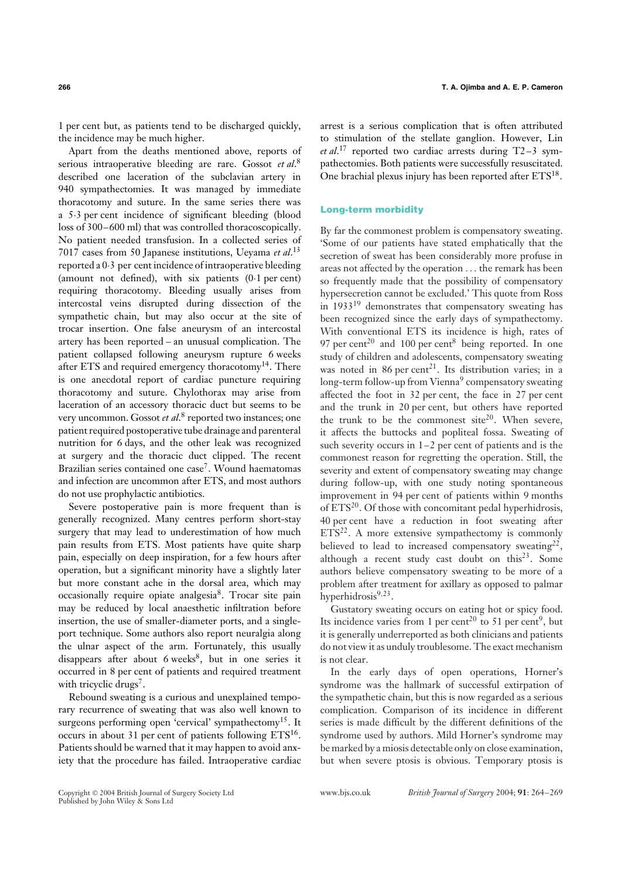1 per cent but, as patients tend to be discharged quickly, the incidence may be much higher.

Apart from the deaths mentioned above, reports of serious intraoperative bleeding are rare. Gossot *et al*. 8 described one laceration of the subclavian artery in 940 sympathectomies. It was managed by immediate thoracotomy and suture. In the same series there was a 5·3 per cent incidence of significant bleeding (blood loss of 300–600 ml) that was controlled thoracoscopically. No patient needed transfusion. In a collected series of 7017 cases from 50 Japanese institutions, Ueyama *et al*. 13 reported a 0·3 per cent incidence of intraoperative bleeding (amount not defined), with six patients (0·1 per cent) requiring thoracotomy. Bleeding usually arises from intercostal veins disrupted during dissection of the sympathetic chain, but may also occur at the site of trocar insertion. One false aneurysm of an intercostal artery has been reported – an unusual complication. The patient collapsed following aneurysm rupture 6 weeks after ETS and required emergency thoracotomy<sup>14</sup>. There is one anecdotal report of cardiac puncture requiring thoracotomy and suture. Chylothorax may arise from laceration of an accessory thoracic duct but seems to be very uncommon. Gossot *et al*. <sup>8</sup> reported two instances; one patient required postoperative tube drainage and parenteral nutrition for 6 days, and the other leak was recognized at surgery and the thoracic duct clipped. The recent Brazilian series contained one case<sup>7</sup>. Wound haematomas and infection are uncommon after ETS, and most authors do not use prophylactic antibiotics.

Severe postoperative pain is more frequent than is generally recognized. Many centres perform short-stay surgery that may lead to underestimation of how much pain results from ETS. Most patients have quite sharp pain, especially on deep inspiration, for a few hours after operation, but a significant minority have a slightly later but more constant ache in the dorsal area, which may occasionally require opiate analgesia8. Trocar site pain may be reduced by local anaesthetic infiltration before insertion, the use of smaller-diameter ports, and a singleport technique. Some authors also report neuralgia along the ulnar aspect of the arm. Fortunately, this usually disappears after about 6 weeks<sup>8</sup>, but in one series it occurred in 8 per cent of patients and required treatment with tricyclic drugs<sup>7</sup>.

Rebound sweating is a curious and unexplained temporary recurrence of sweating that was also well known to surgeons performing open 'cervical' sympathectomy<sup>15</sup>. It occurs in about 31 per cent of patients following ETS<sup>16</sup>. Patients should be warned that it may happen to avoid anxiety that the procedure has failed. Intraoperative cardiac arrest is a serious complication that is often attributed to stimulation of the stellate ganglion. However, Lin *et al*. <sup>17</sup> reported two cardiac arrests during T2–3 sympathectomies. Both patients were successfully resuscitated. One brachial plexus injury has been reported after ETS<sup>18</sup>.

#### **Long-term morbidity**

By far the commonest problem is compensatory sweating. 'Some of our patients have stated emphatically that the secretion of sweat has been considerably more profuse in areas not affected by the operation *...* the remark has been so frequently made that the possibility of compensatory hypersecretion cannot be excluded.' This quote from Ross in 1933<sup>19</sup> demonstrates that compensatory sweating has been recognized since the early days of sympathectomy. With conventional ETS its incidence is high, rates of 97 per cent<sup>20</sup> and 100 per cent<sup>8</sup> being reported. In one study of children and adolescents, compensatory sweating was noted in 86 per cent<sup>21</sup>. Its distribution varies; in a long-term follow-up from Vienna<sup>9</sup> compensatory sweating affected the foot in 32 per cent, the face in 27 per cent and the trunk in 20 per cent, but others have reported the trunk to be the commonest site<sup>20</sup>. When severe, it affects the buttocks and popliteal fossa. Sweating of such severity occurs in 1–2 per cent of patients and is the commonest reason for regretting the operation. Still, the severity and extent of compensatory sweating may change during follow-up, with one study noting spontaneous improvement in 94 per cent of patients within 9 months of ETS20. Of those with concomitant pedal hyperhidrosis, 40 per cent have a reduction in foot sweating after  $ETS<sup>22</sup>$ . A more extensive sympathectomy is commonly believed to lead to increased compensatory sweating<sup>22</sup>, although a recent study cast doubt on this<sup>23</sup>. Some authors believe compensatory sweating to be more of a problem after treatment for axillary as opposed to palmar hyperhidrosis9*,*23.

Gustatory sweating occurs on eating hot or spicy food. Its incidence varies from 1 per cent<sup>20</sup> to 51 per cent<sup>9</sup>, but it is generally underreported as both clinicians and patients do not view it as unduly troublesome. The exact mechanism is not clear.

In the early days of open operations, Horner's syndrome was the hallmark of successful extirpation of the sympathetic chain, but this is now regarded as a serious complication. Comparison of its incidence in different series is made difficult by the different definitions of the syndrome used by authors. Mild Horner's syndrome may be marked by a miosis detectable only on close examination, but when severe ptosis is obvious. Temporary ptosis is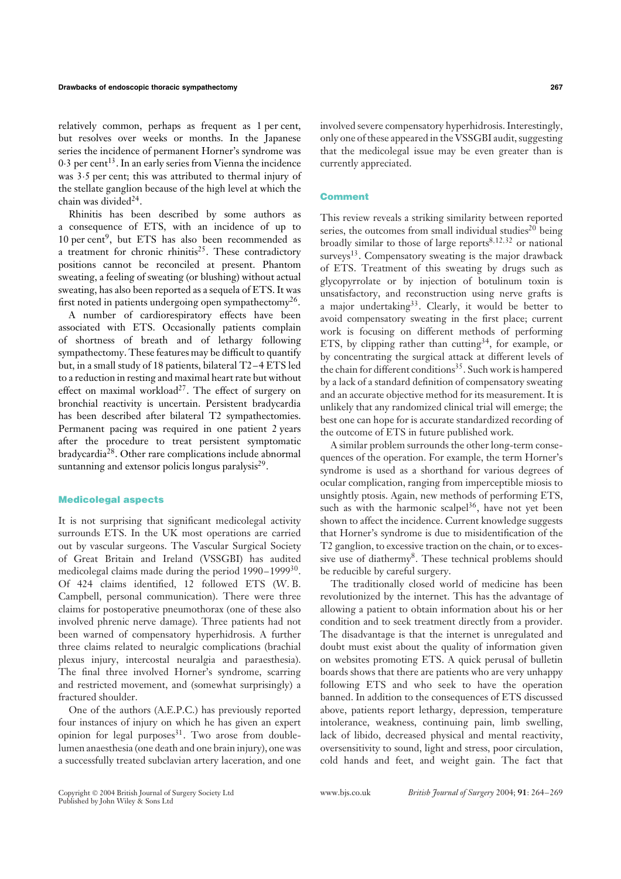relatively common, perhaps as frequent as 1 per cent, but resolves over weeks or months. In the Japanese series the incidence of permanent Horner's syndrome was  $0.3$  per cent<sup>13</sup>. In an early series from Vienna the incidence was  $3.5$  per cent; this was attributed to thermal injury of the stellate ganglion because of the high level at which the chain was divided<sup>24</sup>.

Rhinitis has been described by some authors as a consequence of ETS, with an incidence of up to 10 per cent9, but ETS has also been recommended as a treatment for chronic rhinitis<sup>25</sup>. These contradictory positions cannot be reconciled at present. Phantom sweating, a feeling of sweating (or blushing) without actual sweating, has also been reported as a sequela of ETS. It was first noted in patients undergoing open sympathectomy<sup>26</sup>.

A number of cardiorespiratory effects have been associated with ETS. Occasionally patients complain of shortness of breath and of lethargy following sympathectomy. These features may be difficult to quantify but, in a small study of 18 patients, bilateral T2–4 ETS led to a reduction in resting and maximal heart rate but without effect on maximal workload<sup>27</sup>. The effect of surgery on bronchial reactivity is uncertain. Persistent bradycardia has been described after bilateral T2 sympathectomies. Permanent pacing was required in one patient 2 years after the procedure to treat persistent symptomatic bradycardia28. Other rare complications include abnormal suntanning and extensor policis longus paralysis $2^9$ .

#### **Medicolegal aspects**

It is not surprising that significant medicolegal activity surrounds ETS. In the UK most operations are carried out by vascular surgeons. The Vascular Surgical Society of Great Britain and Ireland (VSSGBI) has audited medicolegal claims made during the period 1990–1999<sup>30</sup>. Of 424 claims identified, 12 followed ETS (W. B. Campbell, personal communication). There were three claims for postoperative pneumothorax (one of these also involved phrenic nerve damage). Three patients had not been warned of compensatory hyperhidrosis. A further three claims related to neuralgic complications (brachial plexus injury, intercostal neuralgia and paraesthesia). The final three involved Horner's syndrome, scarring and restricted movement, and (somewhat surprisingly) a fractured shoulder.

One of the authors (A.E.P.C.) has previously reported four instances of injury on which he has given an expert opinion for legal purposes $31$ . Two arose from doublelumen anaesthesia (one death and one brain injury), one was a successfully treated subclavian artery laceration, and one involved severe compensatory hyperhidrosis. Interestingly, only one of these appeared in the VSSGBI audit, suggesting that the medicolegal issue may be even greater than is currently appreciated.

#### **Comment**

This review reveals a striking similarity between reported series, the outcomes from small individual studies<sup>20</sup> being broadly similar to those of large reports8*,*12*,*<sup>32</sup> or national surveys<sup>13</sup>. Compensatory sweating is the major drawback of ETS. Treatment of this sweating by drugs such as glycopyrrolate or by injection of botulinum toxin is unsatisfactory, and reconstruction using nerve grafts is a major undertaking<sup>33</sup>. Clearly, it would be better to avoid compensatory sweating in the first place; current work is focusing on different methods of performing ETS, by clipping rather than cutting<sup>34</sup>, for example, or by concentrating the surgical attack at different levels of the chain for different conditions<sup>35</sup>. Such work is hampered by a lack of a standard definition of compensatory sweating and an accurate objective method for its measurement. It is unlikely that any randomized clinical trial will emerge; the best one can hope for is accurate standardized recording of the outcome of ETS in future published work.

A similar problem surrounds the other long-term consequences of the operation. For example, the term Horner's syndrome is used as a shorthand for various degrees of ocular complication, ranging from imperceptible miosis to unsightly ptosis. Again, new methods of performing ETS, such as with the harmonic scalpel<sup>36</sup>, have not yet been shown to affect the incidence. Current knowledge suggests that Horner's syndrome is due to misidentification of the T2 ganglion, to excessive traction on the chain, or to excessive use of diathermy<sup>8</sup>. These technical problems should be reducible by careful surgery.

The traditionally closed world of medicine has been revolutionized by the internet. This has the advantage of allowing a patient to obtain information about his or her condition and to seek treatment directly from a provider. The disadvantage is that the internet is unregulated and doubt must exist about the quality of information given on websites promoting ETS. A quick perusal of bulletin boards shows that there are patients who are very unhappy following ETS and who seek to have the operation banned. In addition to the consequences of ETS discussed above, patients report lethargy, depression, temperature intolerance, weakness, continuing pain, limb swelling, lack of libido, decreased physical and mental reactivity, oversensitivity to sound, light and stress, poor circulation, cold hands and feet, and weight gain. The fact that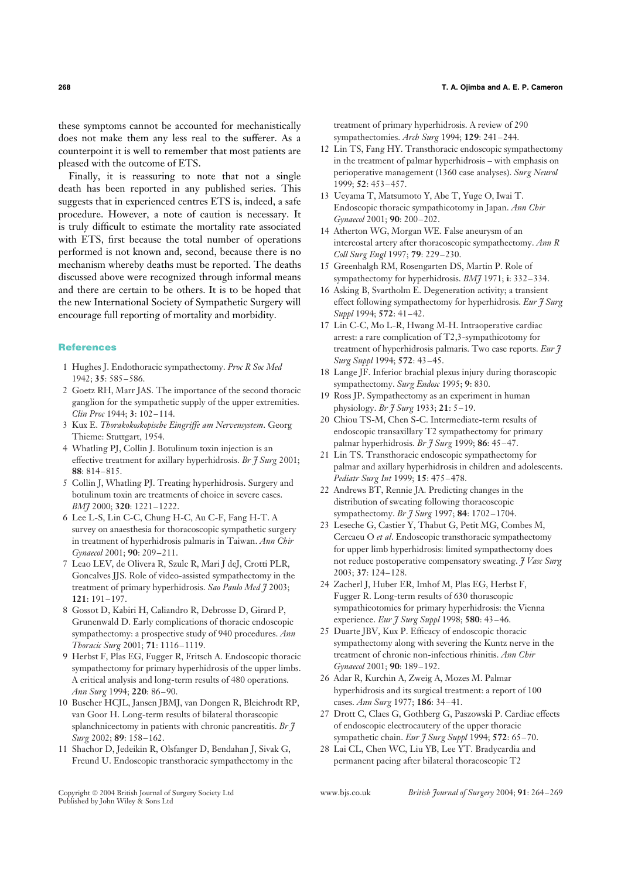these symptoms cannot be accounted for mechanistically does not make them any less real to the sufferer. As a counterpoint it is well to remember that most patients are pleased with the outcome of ETS.

Finally, it is reassuring to note that not a single death has been reported in any published series. This suggests that in experienced centres ETS is, indeed, a safe procedure. However, a note of caution is necessary. It is truly difficult to estimate the mortality rate associated with ETS, first because the total number of operations performed is not known and, second, because there is no mechanism whereby deaths must be reported. The deaths discussed above were recognized through informal means and there are certain to be others. It is to be hoped that the new International Society of Sympathetic Surgery will encourage full reporting of mortality and morbidity.

#### **References**

- 1 Hughes J. Endothoracic sympathectomy. *Proc R Soc Med* 1942; **35**: 585–586.
- 2 Goetz RH, Marr JAS. The importance of the second thoracic ganglion for the sympathetic supply of the upper extremities. *Clin Proc* 1944; **3**: 102–114.
- 3 Kux E. *Thorakokoskopische Eingriffe am Nervensystem*. Georg Thieme: Stuttgart, 1954.
- 4 Whatling PJ, Collin J. Botulinum toxin injection is an effective treatment for axillary hyperhidrosis. *Br J Surg* 2001; **88**: 814–815.
- 5 Collin J, Whatling PJ. Treating hyperhidrosis. Surgery and botulinum toxin are treatments of choice in severe cases. *BMJ* 2000; **320**: 1221–1222.
- 6 Lee L-S, Lin C-C, Chung H-C, Au C-F, Fang H-T. A survey on anaesthesia for thoracoscopic sympathetic surgery in treatment of hyperhidrosis palmaris in Taiwan. *Ann Chir Gynaecol* 2001; **90**: 209–211.
- 7 Leao LEV, de Olivera R, Szulc R, Mari J deJ, Crotti PLR, Goncalves JJS. Role of video-assisted sympathectomy in the treatment of primary hyperhidrosis. *Sao Paulo Med J* 2003; **121**: 191–197.
- 8 Gossot D, Kabiri H, Caliandro R, Debrosse D, Girard P, Grunenwald D. Early complications of thoracic endoscopic sympathectomy: a prospective study of 940 procedures. *Ann Thoracic Surg* 2001; **71**: 1116–1119.
- 9 Herbst F, Plas EG, Fugger R, Fritsch A. Endoscopic thoracic sympathectomy for primary hyperhidrosis of the upper limbs. A critical analysis and long-term results of 480 operations. *Ann Surg* 1994; **220**: 86–90.
- 10 Buscher HCJL, Jansen JBMJ, van Dongen R, Bleichrodt RP, van Goor H. Long-term results of bilateral thorascopic splanchnicectomy in patients with chronic pancreatitis. *Br J Surg* 2002; **89**: 158–162.
- 11 Shachor D, Jedeikin R, Olsfanger D, Bendahan J, Sivak G, Freund U. Endoscopic transthoracic sympathectomy in the

treatment of primary hyperhidrosis. A review of 290 sympathectomies. *Arch Surg* 1994; **129**: 241–244.

- 12 Lin TS, Fang HY. Transthoracic endoscopic sympathectomy in the treatment of palmar hyperhidrosis – with emphasis on perioperative management (1360 case analyses). *Surg Neurol* 1999; **52**: 453–457.
- 13 Ueyama T, Matsumoto Y, Abe T, Yuge O, Iwai T. Endoscopic thoracic sympathicotomy in Japan. *Ann Chir Gynaecol* 2001; **90**: 200–202.
- 14 Atherton WG, Morgan WE. False aneurysm of an intercostal artery after thoracoscopic sympathectomy. *Ann R Coll Surg Engl* 1997; **79**: 229–230.
- 15 Greenhalgh RM, Rosengarten DS, Martin P. Role of sympathectomy for hyperhidrosis. *BMJ* 1971; **i**: 332–334.
- 16 Asking B, Svartholm E. Degeneration activity; a transient effect following sympathectomy for hyperhidrosis. *Eur J Surg Suppl* 1994; **572**: 41–42.
- 17 Lin C-C, Mo L-R, Hwang M-H. Intraoperative cardiac arrest: a rare complication of T2,3-sympathicotomy for treatment of hyperhidrosis palmaris. Two case reports. *Eur J Surg Suppl* 1994; **572**: 43–45.
- 18 Lange JF. Inferior brachial plexus injury during thorascopic sympathectomy. *Surg Endosc* 1995; **9**: 830.
- 19 Ross JP. Sympathectomy as an experiment in human physiology. *Br J Surg* 1933; **21**: 5–19.
- 20 Chiou TS-M, Chen S-C. Intermediate-term results of endoscopic transaxillary T2 sympathectomy for primary palmar hyperhidrosis. *Br J Surg* 1999; **86**: 45–47.
- 21 Lin TS. Transthoracic endoscopic sympathectomy for palmar and axillary hyperhidrosis in children and adolescents. *Pediatr Surg Int* 1999; **15**: 475–478.
- 22 Andrews BT, Rennie JA. Predicting changes in the distribution of sweating following thoracoscopic sympathectomy. *Br J Surg* 1997; **84**: 1702–1704.
- 23 Leseche G, Castier Y, Thabut G, Petit MG, Combes M, Cercaeu O *et al*. Endoscopic transthoracic sympathectomy for upper limb hyperhidrosis: limited sympathectomy does not reduce postoperative compensatory sweating. *J Vasc Surg* 2003; **37**: 124–128.
- 24 Zacherl J, Huber ER, Imhof M, Plas EG, Herbst F, Fugger R. Long-term results of 630 thorascopic sympathicotomies for primary hyperhidrosis: the Vienna experience. *Eur J Surg Suppl* 1998; **580**: 43–46.
- 25 Duarte JBV, Kux P. Efficacy of endoscopic thoracic sympathectomy along with severing the Kuntz nerve in the treatment of chronic non-infectious rhinitis. *Ann Chir Gynaecol* 2001; **90**: 189–192.
- 26 Adar R, Kurchin A, Zweig A, Mozes M. Palmar hyperhidrosis and its surgical treatment: a report of 100 cases. *Ann Surg* 1977; **186**: 34–41.
- 27 Drott C, Claes G, Gothberg G, Paszowski P. Cardiac effects of endoscopic electrocautery of the upper thoracic sympathetic chain. *Eur J Surg Suppl* 1994; **572**: 65–70.
- 28 Lai CL, Chen WC, Liu YB, Lee YT. Bradycardia and permanent pacing after bilateral thoracoscopic T2